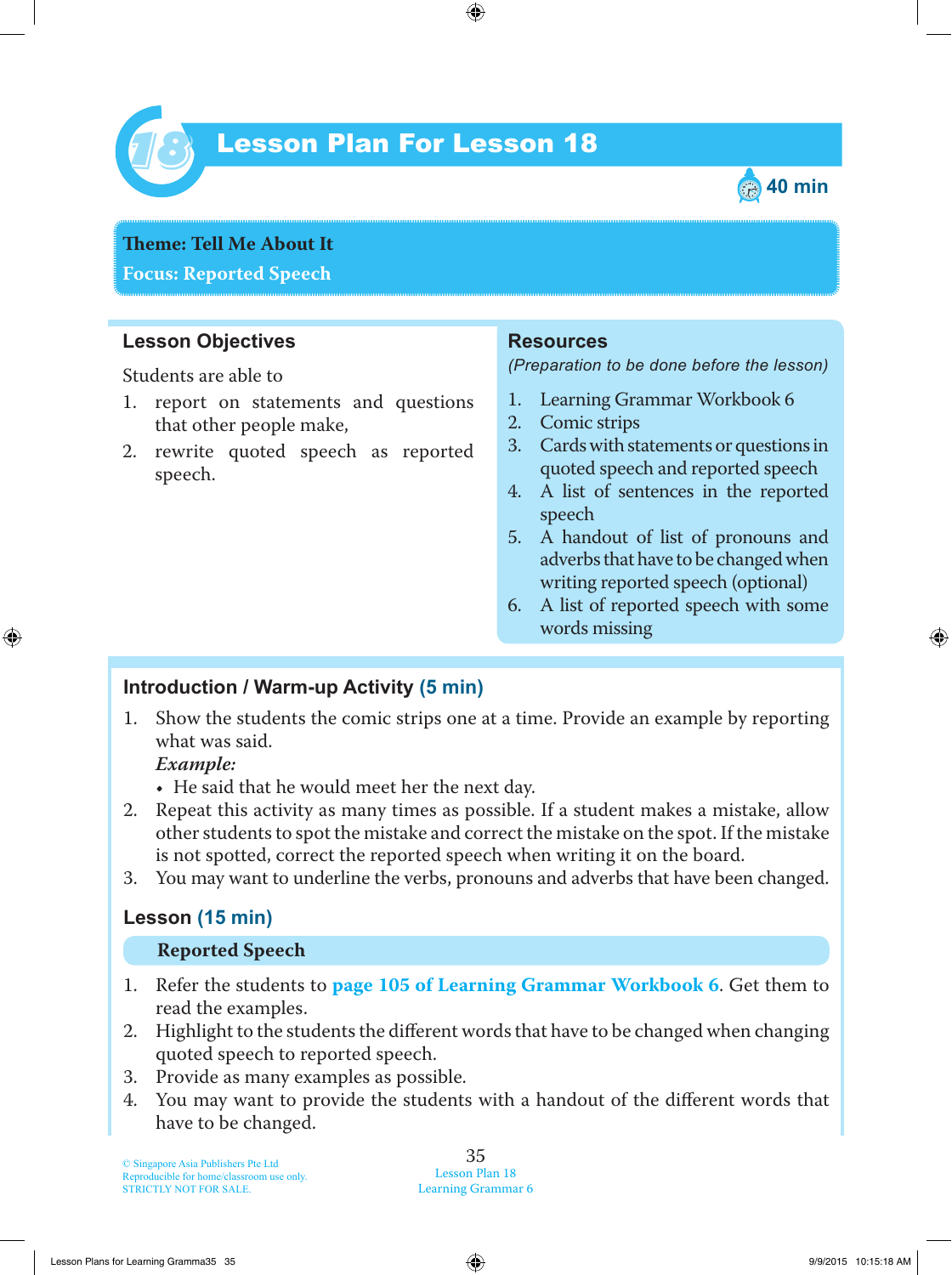

# Lesson Plan For Lesson 18 *18*



**Teme : Tell Me About It Focus: Reported Speech**

# **Lesson Objectives**

Students are able to

- 1. report on statements and questions that other people make,
- 2. rewrite quoted speech as reported speech.

#### **Resources**

*(Preparation to be done before the lesson)*

- 1. Learning Grammar Workbook 6
- 2. Comic strips
- 3. Cards with statements or questions in quoted speech and reported speech
- 4. A list of sentences in the reported speech
- 5. A handout of list of pronouns and adverbs that have to be changed when writing reported speech (optional)
- 6. A list of reported speech with some words missing

#### **Introduction / Warm-up Activity (5 min)**

1. Show the students the comic strips one at a time. Provide an example by reporting what was said.

#### *Example:*

• He said that he would meet her the next day.

- 2. Repeat this activity as many times as possible. If a student makes a mistake, allow other students to spot the mistake and correct the mistake on the spot. If the mistake is not spotted, correct the reported speech when writing it on the board.
- 3. You may want to underline the verbs, pronouns and adverbs that have been changed.

### **Lesson (15 min)**

#### **Reported Speech**

- 1. Refer the students to **page 105 of Learning Grammar Workbook 6** . Get them to read the examples.
- 2. Highlight to the students the different words that have to be changed when changing quoted speech to reported speech.
- 3. Provide as many examples as possible.
- 4. You may want to provide the students with a handout of the different words that have to be changed.